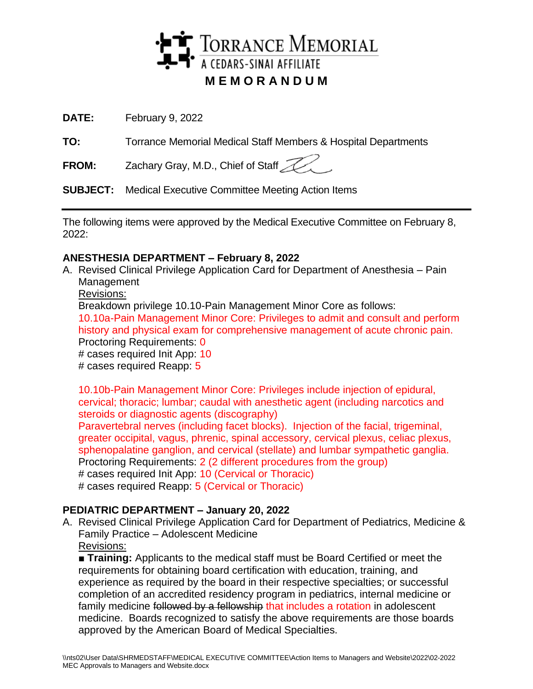

**DATE:** February 9, 2022

**TO:** Torrance Memorial Medical Staff Members & Hospital Departments

**FROM:** Zachary Gray, M.D., Chief of Staff

**SUBJECT:** Medical Executive Committee Meeting Action Items

The following items were approved by the Medical Executive Committee on February 8, 2022:

## **ANESTHESIA DEPARTMENT – February 8, 2022**

A. Revised Clinical Privilege Application Card for Department of Anesthesia – Pain Management

Revisions:

Breakdown privilege 10.10-Pain Management Minor Core as follows:

10.10a-Pain Management Minor Core: Privileges to admit and consult and perform history and physical exam for comprehensive management of acute chronic pain. Proctoring Requirements: 0

# cases required Init App: 10

# cases required Reapp: 5

10.10b-Pain Management Minor Core: Privileges include injection of epidural, cervical; thoracic; lumbar; caudal with anesthetic agent (including narcotics and steroids or diagnostic agents (discography)

Paravertebral nerves (including facet blocks). Injection of the facial, trigeminal, greater occipital, vagus, phrenic, spinal accessory, cervical plexus, celiac plexus, sphenopalatine ganglion, and cervical (stellate) and lumbar sympathetic ganglia. Proctoring Requirements: 2 (2 different procedures from the group) # cases required Init App: 10 (Cervical or Thoracic)

# cases required Reapp: 5 (Cervical or Thoracic)

# **PEDIATRIC DEPARTMENT – January 20, 2022**

A. Revised Clinical Privilege Application Card for Department of Pediatrics, Medicine & Family Practice – Adolescent Medicine Revisions:

■ **Training:** Applicants to the medical staff must be Board Certified or meet the requirements for obtaining board certification with education, training, and experience as required by the board in their respective specialties; or successful completion of an accredited residency program in pediatrics, internal medicine or family medicine followed by a fellowship that includes a rotation in adolescent medicine. Boards recognized to satisfy the above requirements are those boards approved by the American Board of Medical Specialties.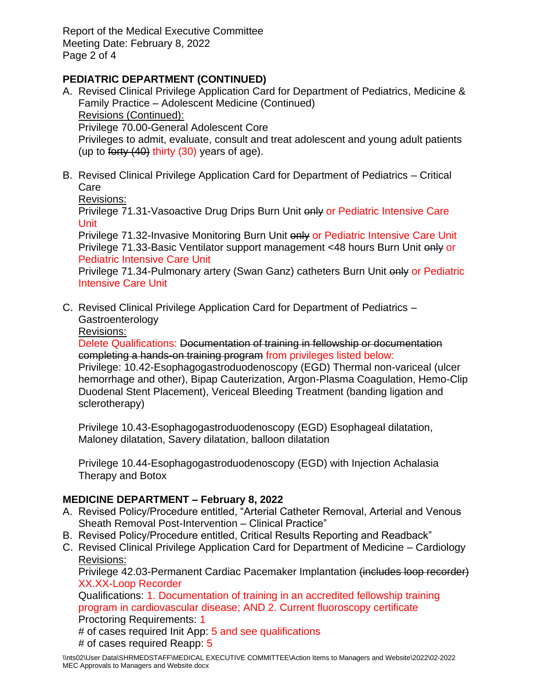Report of the Medical Executive Committee Meeting Date: February 8, 2022 Page 2 of 4

# **PEDIATRIC DEPARTMENT (CONTINUED)**

- A. Revised Clinical Privilege Application Card for Department of Pediatrics, Medicine & Family Practice – Adolescent Medicine (Continued) Revisions (Continued): Privilege 70.00-General Adolescent Core Privileges to admit, evaluate, consult and treat adolescent and young adult patients (up to forty  $(40)$  thirty  $(30)$  years of age).
- B. Revised Clinical Privilege Application Card for Department of Pediatrics Critical Care

Revisions:

Privilege 71.31-Vasoactive Drug Drips Burn Unit only or Pediatric Intensive Care Unit

Privilege 71.32-Invasive Monitoring Burn Unit only or Pediatric Intensive Care Unit Privilege 71.33-Basic Ventilator support management <48 hours Burn Unit only or Pediatric Intensive Care Unit

Privilege 71.34-Pulmonary artery (Swan Ganz) catheters Burn Unit only or Pediatric Intensive Care Unit

- C. Revised Clinical Privilege Application Card for Department of Pediatrics **Gastroenterology** 
	- Revisions:

Delete Qualifications: Documentation of training in fellowship or documentation completing a hands-on training program from privileges listed below:

Privilege: 10.42-Esophagogastroduodenoscopy (EGD) Thermal non-variceal (ulcer hemorrhage and other), Bipap Cauterization, Argon-Plasma Coagulation, Hemo-Clip Duodenal Stent Placement), Vericeal Bleeding Treatment (banding ligation and sclerotherapy)

Privilege 10.43-Esophagogastroduodenoscopy (EGD) Esophageal dilatation, Maloney dilatation, Savery dilatation, balloon dilatation

Privilege 10.44-Esophagogastroduodenoscopy (EGD) with Injection Achalasia Therapy and Botox

## **MEDICINE DEPARTMENT – February 8, 2022**

- A. Revised Policy/Procedure entitled, "Arterial Catheter Removal, Arterial and Venous Sheath Removal Post-Intervention – Clinical Practice"
- B. Revised Policy/Procedure entitled, Critical Results Reporting and Readback"
- C. Revised Clinical Privilege Application Card for Department of Medicine Cardiology Revisions:

Privilege 42.03-Permanent Cardiac Pacemaker Implantation (includes loop recorder) XX.XX-Loop Recorder

Qualifications: 1. Documentation of training in an accredited fellowship training program in cardiovascular disease; AND 2. Current fluoroscopy certificate Proctoring Requirements: 1

- # of cases required Init App: 5 and see qualifications
- # of cases required Reapp: 5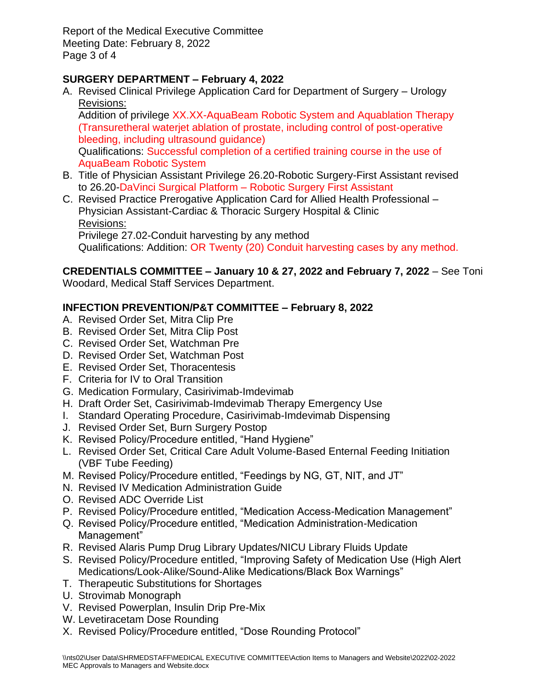Report of the Medical Executive Committee Meeting Date: February 8, 2022 Page 3 of 4

# **SURGERY DEPARTMENT – February 4, 2022**

A. Revised Clinical Privilege Application Card for Department of Surgery – Urology Revisions:

Addition of privilege XX.XX-AquaBeam Robotic System and Aquablation Therapy (Transuretheral waterjet ablation of prostate, including control of post-operative bleeding, including ultrasound guidance) Qualifications: Successful completion of a certified training course in the use of AquaBeam Robotic System

- B. Title of Physician Assistant Privilege 26.20-Robotic Surgery-First Assistant revised to 26.20-DaVinci Surgical Platform – Robotic Surgery First Assistant
- C. Revised Practice Prerogative Application Card for Allied Health Professional Physician Assistant-Cardiac & Thoracic Surgery Hospital & Clinic Revisions:

Privilege 27.02-Conduit harvesting by any method Qualifications: Addition: OR Twenty (20) Conduit harvesting cases by any method.

**CREDENTIALS COMMITTEE – January 10 & 27, 2022 and February 7, 2022** – See Toni Woodard, Medical Staff Services Department.

## **INFECTION PREVENTION/P&T COMMITTEE – February 8, 2022**

- A. Revised Order Set, Mitra Clip Pre
- B. Revised Order Set, Mitra Clip Post
- C. Revised Order Set, Watchman Pre
- D. Revised Order Set, Watchman Post
- E. Revised Order Set, Thoracentesis
- F. Criteria for IV to Oral Transition
- G. Medication Formulary, Casirivimab-Imdevimab
- H. Draft Order Set, Casirivimab-Imdevimab Therapy Emergency Use
- I. Standard Operating Procedure, Casirivimab-Imdevimab Dispensing
- J. Revised Order Set, Burn Surgery Postop
- K. Revised Policy/Procedure entitled, "Hand Hygiene"
- L. Revised Order Set, Critical Care Adult Volume-Based Enternal Feeding Initiation (VBF Tube Feeding)
- M. Revised Policy/Procedure entitled, "Feedings by NG, GT, NIT, and JT"
- N. Revised IV Medication Administration Guide
- O. Revised ADC Override List
- P. Revised Policy/Procedure entitled, "Medication Access-Medication Management"
- Q. Revised Policy/Procedure entitled, "Medication Administration-Medication Management"
- R. Revised Alaris Pump Drug Library Updates/NICU Library Fluids Update
- S. Revised Policy/Procedure entitled, "Improving Safety of Medication Use (High Alert Medications/Look-Alike/Sound-Alike Medications/Black Box Warnings"
- T. Therapeutic Substitutions for Shortages
- U. Strovimab Monograph
- V. Revised Powerplan, Insulin Drip Pre-Mix
- W. Levetiracetam Dose Rounding
- X. Revised Policy/Procedure entitled, "Dose Rounding Protocol"